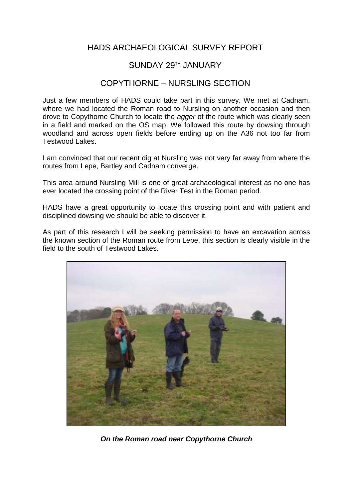## HADS ARCHAEOLOGICAL SURVEY REPORT

## SUNDAY 29TH JANUARY

## COPYTHORNE – NURSLING SECTION

Just a few members of HADS could take part in this survey. We met at Cadnam, where we had located the Roman road to Nursling on another occasion and then drove to Copythorne Church to locate the *agger* of the route which was clearly seen in a field and marked on the OS map. We followed this route by dowsing through woodland and across open fields before ending up on the A36 not too far from Testwood Lakes.

I am convinced that our recent dig at Nursling was not very far away from where the routes from Lepe, Bartley and Cadnam converge.

This area around Nursling Mill is one of great archaeological interest as no one has ever located the crossing point of the River Test in the Roman period.

HADS have a great opportunity to locate this crossing point and with patient and disciplined dowsing we should be able to discover it.

As part of this research I will be seeking permission to have an excavation across the known section of the Roman route from Lepe, this section is clearly visible in the field to the south of Testwood Lakes.



*On the Roman road near Copythorne Church*